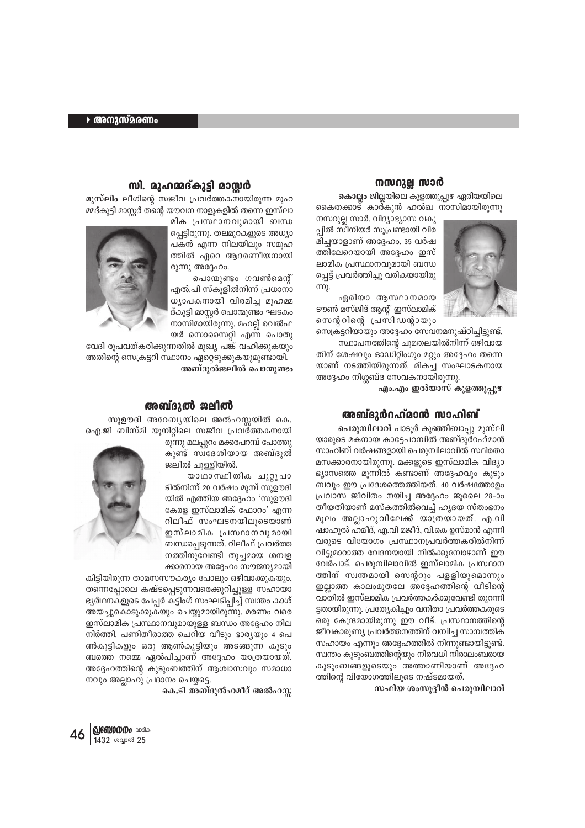# നസറുല്ല സാർ

**കൊല്ലം** ജില്ലയിലെ കുളത്തുപ്പുഴ ഏരിയയിലെ കൈതക്കാട് കാർകുൻ ഹൽഖ നാസിമായിരുന്നു



നസറുല്ല സാർ. വിദ്യാഭ്യാസ വകു പ്പിൽ സീനിയർ സൂപ്രണ്ടായി വിര മിച്ചയാളാണ് അദ്ദേഹം. 35 വർഷ ത്തിലേറെയായി അദ്ദേഹം ഇസ് ലാമിക പ്രസ്ഥാനവുമായി ബന്ധ പ്പെട്ട് പ്രവർത്തിച്ചു വരികയായിരു m.

 $\alpha$ ദരിയാ ആസ്ഥാനമായ ടൗൺ മസ്ജിദ് ആന്റ് ഇസ്ലാമിക് സെന്ററിന്റെ പ്രസിഡന്റായും

സെക്രട്ടറിയായും അദ്ദേഹം സേവനമനുഷ്ഠിച്ചിട്ടുണ്ട്. സ്ഥാപനത്തിന്റെ ചുമതലയിൽനിന്ന് ഒഴിവായ തിന് ശേഷവും ഓഡിറ്റിംഗും മറ്റും അദ്ദേഹം തന്നെ യാണ് നടത്തിയിരുന്നത്. മികച്ച സംഘാടകനായ അദ്ദേഹം നിശ്ശബ്ദ സേവകനായിരുന്നു.

<sup>.</sup>എം.എം ഇൽയാസ് കുളത്തുപ്പുഴ

## അബ്ദുർറഹ്**മാൻ സാഹിബ്**

**പെരുമ്പിലാവ്** പാടൂർ കുഞ്ഞിബാപ്പു മുസ്ലി യാരുടെ മകനായ കാട്ടേപറമ്പിൽ അബ്ദുർറഹ്മാൻ സാഹിബ് വർഷങ്ങളായി പെരുമ്പിലാവിൽ സ്ഥിരതാ മസക്കാരനായിരുന്നു. മക്കളുടെ ഇസ്ലാമിക വിദ്യാ  $\mathsf g$ ുറസത്തെ മുന്നിൽ കണ്ടാണ് അദ്ദേഹവും കുടും ബവും ഈ പ്രദേശത്തെത്തിയത്. 40 വർഷത്തോളം (പവാസ ജീവിതം നയിച്ച അദ്ദേഹം ജുലൈ 28-ാം തീയതിയാണ് മസ്കത്തിൽവെച്ച് ഹൃദയ സ്തംഭനം മൂലം അല്ലാഹുവിലേക്ക് യാത്രയായത്. എ.വി ഷാഹുൽ ഹമീദ്, എ.വി മജീദ്, വി.കെ ഉസ്മാൻ എന്നി വരുടെ വിയോഗം പ്രസ്ഥാനപ്രവർത്തകരിൽനിന്ന് വിട്ടുമാറാത്ത വേദനയായി നിൽക്കുമ്പോഴാണ് ഈ വേർപാട്. പെരുമ്പിലാവിൽ ഇസ്ലാമിക പ്രസ്ഥാന ത്തിന് സ്വന്തമായി സെന്ററും പളളിയുമൊന്നും ഇല്ലാത്ത കാലംമുതലേ അദ്ദേഹത്തിന്റെ വീടിന്റെ <u>വാ</u>തിൽ ഇസ്ലാമിക പ്രവർത്തകർക്കുവേണ്ടി തുറന്നി ്ട്ടതായിരുന്നു. പ്രത്യേകിച്ചും വനിതാ പ്രവർത്തകരുടെ ഒരു കേന്ദ്രമായിരുന്നു ഈ വീട്. പ്രസ്ഥാനത്തിന്റെ ജീവകാരുണ്യ പ്രവർത്തനത്തിന് വമ്പിച്ച സാമ്പത്തിക സഹായം എന്നും അദ്ദേഹത്തിൽ നിന്നുണ്ടായിട്ടുണ്ട്. സ്വന്തം കൂടുംബത്തിന്റെയും നിരവധി നിരാലംബരായ കുടുംബങ്ങളുടെയും അത്താണിയാണ് അദ്ദേഹ ത്തിന്റെ വിയോഗത്തിലൂടെ നഷ്ടമായത്.

സഫിയ ശംസുദ്ദീൻ പെരുമ്പിലാവ്

## സി. മുഹമ്മദ്**കുട്ടി മാസ്സ**ർ

**മുസ്ലിം** ലീഗിന്റെ സജീവ പ്രവർത്തകനായിരുന്ന മുഹ മ്മദ്കുട്ടി മാസ്റ്റർ തന്റെ യൗവന നാളുകളിൽ തന്നെ ഇസ്ലാ

മിക പ്രസ്ഥാനവുമായി ബന്ധ ച്ചെട്ടിരുന്നു. തലമുറകളുടെ അധ്യാ പകൻ എന്ന നിലയിലും സമൂഹ ത്തിൽ ഏറെ ആദരണീയനായി @)m) അദ്ദേഹം.

പൊന്മുണ്ടം ഗവൺമെന്റ് എൽ.പി സ്കൂളിൽനിന്ന് പ്രധാനാ  $\omega$ ്വാപകനായി വിരമിച്ച മുഹമ്മ ദ്കുട്ടി മാസ്റ്റർ പൊന്മുണ്ടം ഘടകം നാസിമായിരുന്നു. മഹല്ല് വെൽഫ യർ സൊസൈറ്റി എന്ന പൊതു



വേദി രൂപവത്കരിക്കുന്നതിൽ മുഖ്യ പങ്ക് വഹിക്കുകയും അതിന്റെ സെക്രട്ടറി സ്ഥാനം ഏറ്റെടുക്കുകയുമുണ്ടായി. <sup>അബ്ദുൽജലീൽ പൊന്മുണ്ടം</sup>

### അബ്ദുൽ ജലീൽ

സു**ഊദി അറേബ്യയിലെ അൽഹസ്സയിൽ കെ**. ഐ.ജി ബിസ്മി യൂനിറ്റിലെ സജീവ പ്രവർത്തകനായി

രുന്നു മലപ്പുറം മക്കരപറമ്പ് പോത്തു കുണ്ട് സ്വദേശിയായ അബ്ദുൽ ജലീൽ ചുള്ളിയിൽ.

യാഥാസ്ഥിതിക ചുറ്റുപാ ടിൽനിന്ന് 20 വർഷം മുമ്പ് സുഊദി യിൽ എത്തിയ അദ്ദേഹം 'സുഊദി കേരള ഇസ്ലാമിക് ഫോറം' എന്ന റിലീഫ് സംഘടനയിലൂടെയാണ് ഇസ്ലാമിക പ്രസ്ഥാനവുമായി ബന്ധപെടുന്നത്. റിലീഫ് പ്രവർത്ത നത്തിനുവേണ്ടി തുച്ചമായ ശമ്പള ക്കാരനായ അദ്ദേഹം സൗജന്യമായി



കിട്ടിയിരുന്ന താമസസൗകര്യം പോലും ഒഴിവാക്കുകയും, ®ന്നെപ്പോലെ കഷ്ടപ്പെടുന്നവരെക്കുറിച്ചുള്ള സഹായാ ഭൃർഥനകളുടെ പേപ്പർ കട്ടിംഗ് സംഘടിപ്പിച്ച് സ്ഥതം കാശ് അയച്ചുകൊടുക്കുകയും ചെയ്യുമായിരുന്നു. മരണം വരെ  $\overline{v}$ ഇസ്ലാമിക പ്രസ്ഥാനവുമായുള്ള ബന്ധം അദ്ദേഹം നില നിർത്തി. പണിതീരാത്ത ചെറിയ വീടും ഭാര്യയും 4 പെ ൺകുട്ടികളും ഒരു ആൺകുട്ടിയും അടങ്ങുന്ന കുടും \_ ബത്തെ നമ്മെ ഏൽപിച്ചാണ് അദ്ദേഹം യാത്രയായത്. അദ്ദേഹത്തിന്റെ കുടുംബത്തിന് ആശ്വാസവും സമാധാ  $\mathfrak{m}$ വും അല്ലാഹു പ്രദാനം ചെയ്യട്ടെ.

.**കെ.ടി അബ്ദുൽഹമീദ് അൽഹസ്ല** 

**46 |@്®ി 20**<br>1432 ശ്വാൽ 25